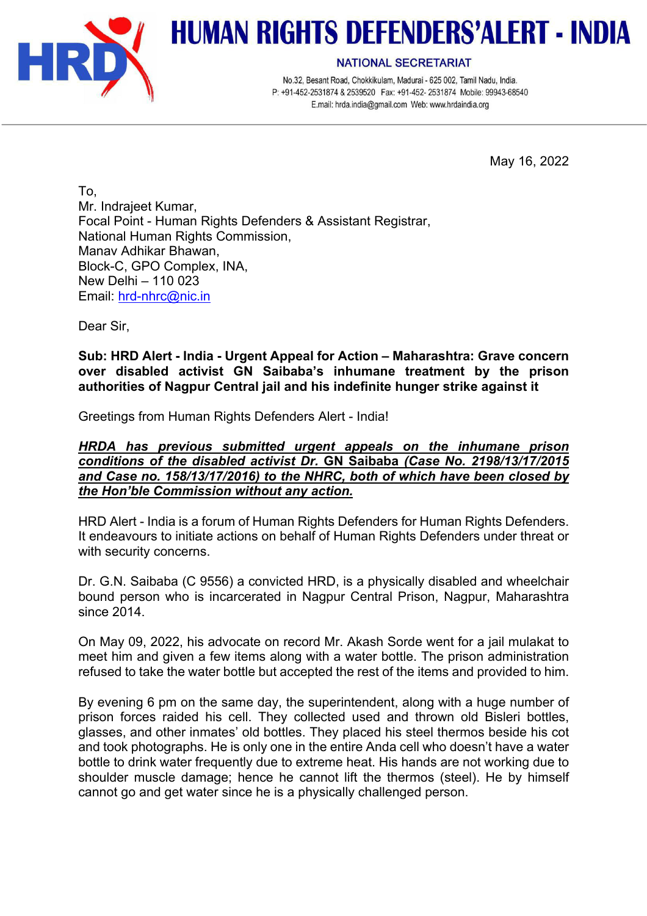

## **HUMAN RIGHTS DEFENDERS'ALERT - INDIA**

**NATIONAL SECRETARIAT** 

No.32, Besant Road, Chokkikulam, Madurai - 625 002, Tamil Nadu, India. P: +91-452-2531874 & 2539520 Fax: +91-452-2531874 Mobile: 99943-68540 E.mail: hrda.india@gmail.com Web: www.hrdaindia.org

May 16, 2022

To, Mr. Indrajeet Kumar, Focal Point - Human Rights Defenders & Assistant Registrar, National Human Rights Commission, Manav Adhikar Bhawan, Block-C, GPO Complex, INA, New Delhi – 110 023 Email: hrd-nhrc@nic.in

Dear Sir,

**Sub: HRD Alert - India - Urgent Appeal for Action – Maharashtra: Grave concern over disabled activist GN Saibaba's inhumane treatment by the prison authorities of Nagpur Central jail and his indefinite hunger strike against it**

Greetings from Human Rights Defenders Alert - India!

*HRDA has previous submitted urgent appeals on the inhumane prison conditions of the disabled activist Dr.* **GN Saibaba** *(Case No. 2198/13/17/2015 and Case no. 158/13/17/2016) to the NHRC, both of which have been closed by the Hon'ble Commission without any action.*

HRD Alert - India is a forum of Human Rights Defenders for Human Rights Defenders. It endeavours to initiate actions on behalf of Human Rights Defenders under threat or with security concerns.

Dr. G.N. Saibaba (C 9556) a convicted HRD, is a physically disabled and wheelchair bound person who is incarcerated in Nagpur Central Prison, Nagpur, Maharashtra since 2014.

On May 09, 2022, his advocate on record Mr. Akash Sorde went for a jail mulakat to meet him and given a few items along with a water bottle. The prison administration refused to take the water bottle but accepted the rest of the items and provided to him.

By evening 6 pm on the same day, the superintendent, along with a huge number of prison forces raided his cell. They collected used and thrown old Bisleri bottles, glasses, and other inmates' old bottles. They placed his steel thermos beside his cot and took photographs. He is only one in the entire Anda cell who doesn't have a water bottle to drink water frequently due to extreme heat. His hands are not working due to shoulder muscle damage; hence he cannot lift the thermos (steel). He by himself cannot go and get water since he is a physically challenged person.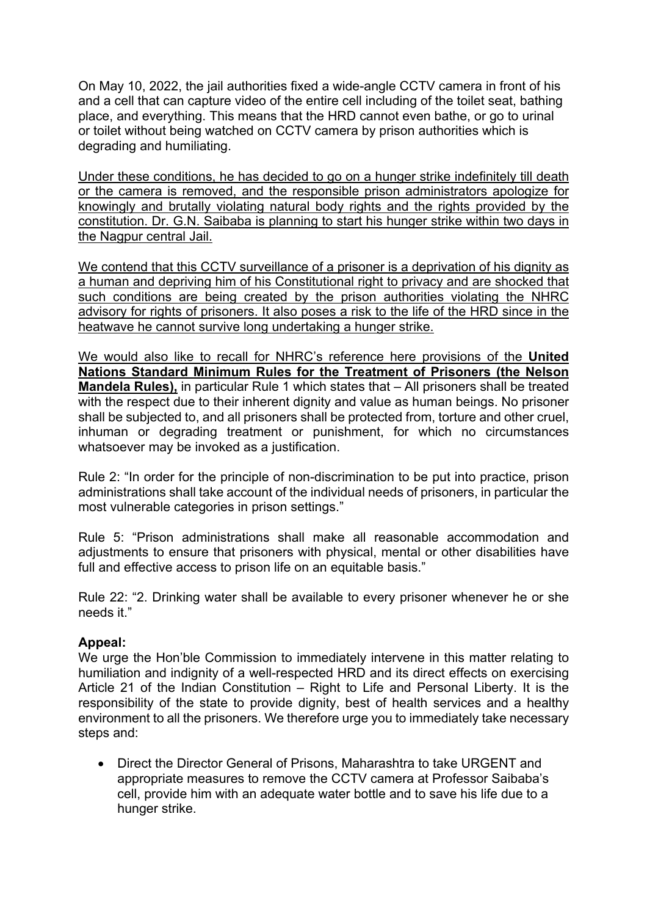On May 10, 2022, the jail authorities fixed a wide-angle CCTV camera in front of his and a cell that can capture video of the entire cell including of the toilet seat, bathing place, and everything. This means that the HRD cannot even bathe, or go to urinal or toilet without being watched on CCTV camera by prison authorities which is degrading and humiliating.

Under these conditions, he has decided to go on a hunger strike indefinitely till death or the camera is removed, and the responsible prison administrators apologize for knowingly and brutally violating natural body rights and the rights provided by the constitution. Dr. G.N. Saibaba is planning to start his hunger strike within two days in the Nagpur central Jail.

We contend that this CCTV surveillance of a prisoner is a deprivation of his dignity as a human and depriving him of his Constitutional right to privacy and are shocked that such conditions are being created by the prison authorities violating the NHRC advisory for rights of prisoners. It also poses a risk to the life of the HRD since in the heatwave he cannot survive long undertaking a hunger strike.

We would also like to recall for NHRC's reference here provisions of the **United Nations Standard Minimum Rules for the Treatment of Prisoners (the Nelson Mandela Rules),** in particular Rule 1 which states that – All prisoners shall be treated with the respect due to their inherent dignity and value as human beings. No prisoner shall be subjected to, and all prisoners shall be protected from, torture and other cruel, inhuman or degrading treatment or punishment, for which no circumstances whatsoever may be invoked as a justification.

Rule 2: "In order for the principle of non-discrimination to be put into practice, prison administrations shall take account of the individual needs of prisoners, in particular the most vulnerable categories in prison settings."

Rule 5: "Prison administrations shall make all reasonable accommodation and adjustments to ensure that prisoners with physical, mental or other disabilities have full and effective access to prison life on an equitable basis."

Rule 22: "2. Drinking water shall be available to every prisoner whenever he or she needs it."

## **Appeal:**

We urge the Hon'ble Commission to immediately intervene in this matter relating to humiliation and indignity of a well-respected HRD and its direct effects on exercising Article 21 of the Indian Constitution – Right to Life and Personal Liberty. It is the responsibility of the state to provide dignity, best of health services and a healthy environment to all the prisoners. We therefore urge you to immediately take necessary steps and:

• Direct the Director General of Prisons, Maharashtra to take URGENT and appropriate measures to remove the CCTV camera at Professor Saibaba's cell, provide him with an adequate water bottle and to save his life due to a hunger strike.